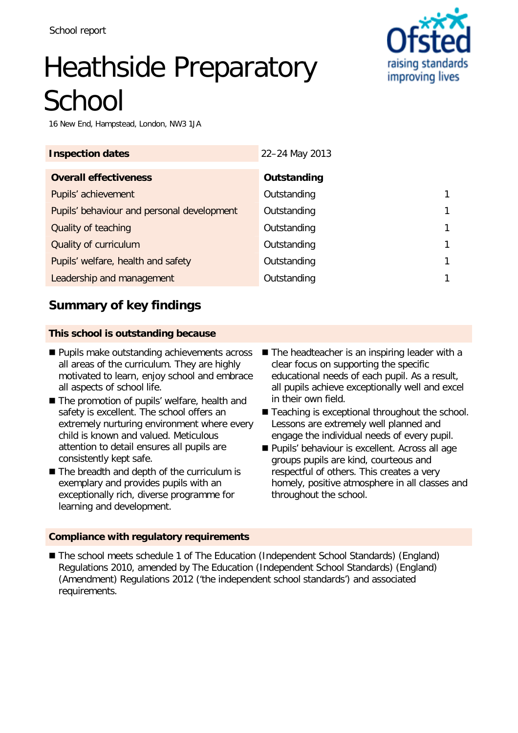# Heathside Preparatory **School**

16 New End, Hampstead, London, NW3 1JA

| <b>Inspection dates</b>                    | 22-24 May 2013 |  |
|--------------------------------------------|----------------|--|
| <b>Overall effectiveness</b>               | Outstanding    |  |
| Pupils' achievement                        | Outstanding    |  |
| Pupils' behaviour and personal development | Outstanding    |  |
| Quality of teaching                        | Outstanding    |  |
| Quality of curriculum                      | Outstanding    |  |
| Pupils' welfare, health and safety         | Outstanding    |  |
| Leadership and management                  | Outstanding    |  |

# **Summary of key findings**

### **This school is outstanding because**

- **Pupils make outstanding achievements across** all areas of the curriculum. They are highly motivated to learn, enjoy school and embrace all aspects of school life.
- The promotion of pupils' welfare, health and safety is excellent. The school offers an extremely nurturing environment where every child is known and valued. Meticulous attention to detail ensures all pupils are consistently kept safe.
- The breadth and depth of the curriculum is exemplary and provides pupils with an exceptionally rich, diverse programme for learning and development.
- $\blacksquare$  The headteacher is an inspiring leader with a clear focus on supporting the specific educational needs of each pupil. As a result, all pupils achieve exceptionally well and excel in their own field.
- Teaching is exceptional throughout the school. Lessons are extremely well planned and engage the individual needs of every pupil.
- **Pupils' behaviour is excellent. Across all age** groups pupils are kind, courteous and respectful of others. This creates a very homely, positive atmosphere in all classes and throughout the school.

#### **Compliance with regulatory requirements**

■ The school meets schedule 1 of The Education (Independent School Standards) (England) Regulations 2010, amended by The Education (Independent School Standards) (England) (Amendment) Regulations 2012 ('the independent school standards') and associated requirements.

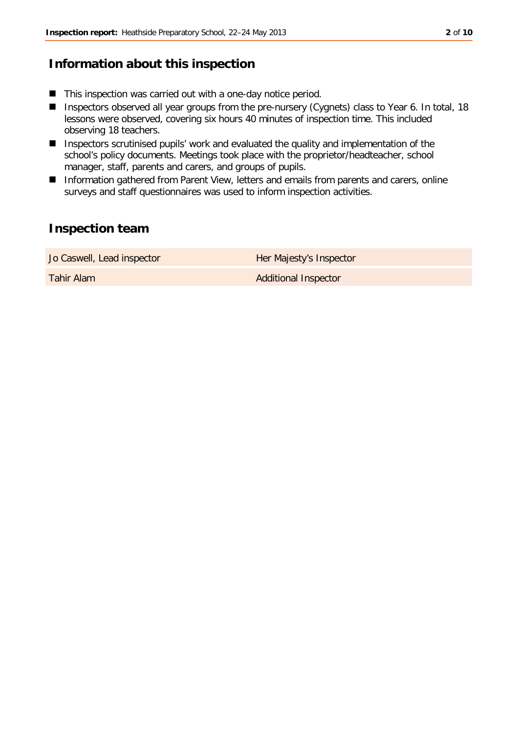# **Information about this inspection**

- This inspection was carried out with a one-day notice period.
- Inspectors observed all year groups from the pre-nursery (Cygnets) class to Year 6. In total, 18 lessons were observed, covering six hours 40 minutes of inspection time. This included observing 18 teachers.
- Inspectors scrutinised pupils' work and evaluated the quality and implementation of the school's policy documents. Meetings took place with the proprietor/headteacher, school manager, staff, parents and carers, and groups of pupils.
- Information gathered from Parent View, letters and emails from parents and carers, online surveys and staff questionnaires was used to inform inspection activities.

# **Inspection team**

| Jo Caswell, Lead inspector | Her Majesty's Inspector     |
|----------------------------|-----------------------------|
| Tahir Alam                 | <b>Additional Inspector</b> |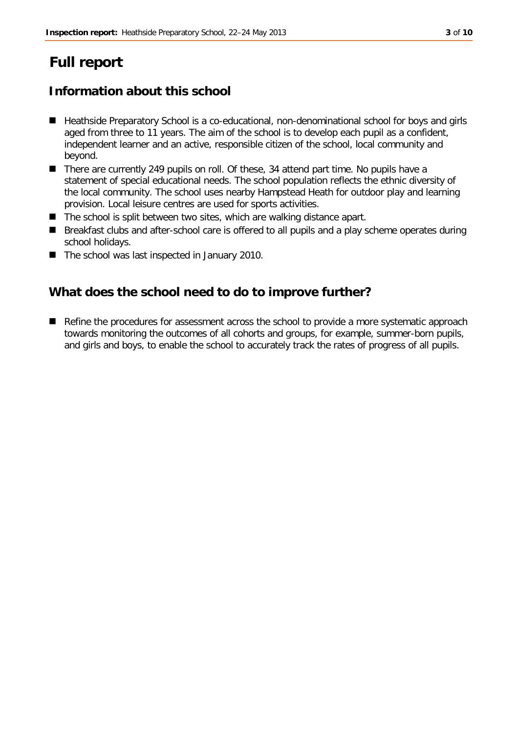# **Full report**

# **Information about this school**

- Heathside Preparatory School is a co-educational, non-denominational school for boys and girls aged from three to 11 years. The aim of the school is to develop each pupil as a confident, independent learner and an active, responsible citizen of the school, local community and beyond.
- There are currently 249 pupils on roll. Of these, 34 attend part time. No pupils have a statement of special educational needs. The school population reflects the ethnic diversity of the local community. The school uses nearby Hampstead Heath for outdoor play and learning provision. Local leisure centres are used for sports activities.
- $\blacksquare$  The school is split between two sites, which are walking distance apart.
- Breakfast clubs and after-school care is offered to all pupils and a play scheme operates during school holidays.
- The school was last inspected in January 2010.

# **What does the school need to do to improve further?**

Refine the procedures for assessment across the school to provide a more systematic approach towards monitoring the outcomes of all cohorts and groups, for example, summer-born pupils, and girls and boys, to enable the school to accurately track the rates of progress of all pupils.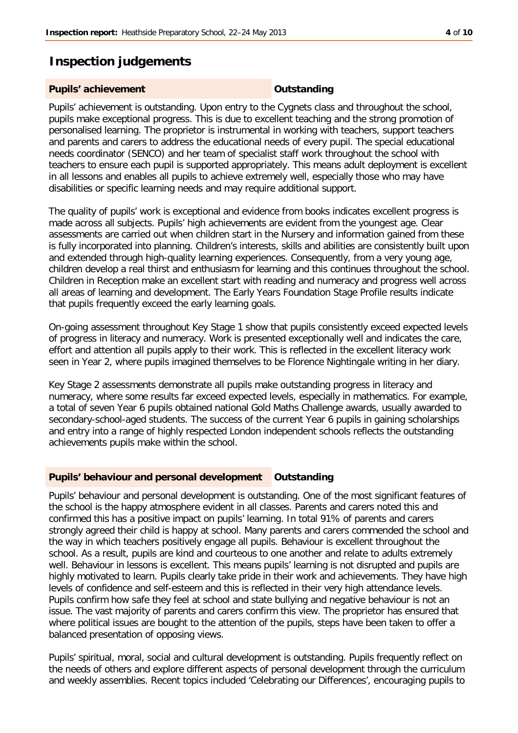# **Inspection judgements**

#### **Pupils' achievement COUTS Outstanding**

Pupils' achievement is outstanding. Upon entry to the Cygnets class and throughout the school, pupils make exceptional progress. This is due to excellent teaching and the strong promotion of personalised learning. The proprietor is instrumental in working with teachers, support teachers and parents and carers to address the educational needs of every pupil. The special educational needs coordinator (SENCO) and her team of specialist staff work throughout the school with teachers to ensure each pupil is supported appropriately. This means adult deployment is excellent in all lessons and enables all pupils to achieve extremely well, especially those who may have disabilities or specific learning needs and may require additional support.

The quality of pupils' work is exceptional and evidence from books indicates excellent progress is made across all subjects. Pupils' high achievements are evident from the youngest age. Clear assessments are carried out when children start in the Nursery and information gained from these is fully incorporated into planning. Children's interests, skills and abilities are consistently built upon and extended through high-quality learning experiences. Consequently, from a very young age, children develop a real thirst and enthusiasm for learning and this continues throughout the school. Children in Reception make an excellent start with reading and numeracy and progress well across all areas of learning and development. The Early Years Foundation Stage Profile results indicate that pupils frequently exceed the early learning goals.

On-going assessment throughout Key Stage 1 show that pupils consistently exceed expected levels of progress in literacy and numeracy. Work is presented exceptionally well and indicates the care, effort and attention all pupils apply to their work. This is reflected in the excellent literacy work seen in Year 2, where pupils imagined themselves to be Florence Nightingale writing in her diary.

Key Stage 2 assessments demonstrate all pupils make outstanding progress in literacy and numeracy, where some results far exceed expected levels, especially in mathematics. For example, a total of seven Year 6 pupils obtained national Gold Maths Challenge awards, usually awarded to secondary-school-aged students. The success of the current Year 6 pupils in gaining scholarships and entry into a range of highly respected London independent schools reflects the outstanding achievements pupils make within the school.

### **Pupils' behaviour and personal development Outstanding**

Pupils' behaviour and personal development is outstanding. One of the most significant features of the school is the happy atmosphere evident in all classes. Parents and carers noted this and confirmed this has a positive impact on pupils' learning. In total 91% of parents and carers strongly agreed their child is happy at school. Many parents and carers commended the school and the way in which teachers positively engage all pupils. Behaviour is excellent throughout the school. As a result, pupils are kind and courteous to one another and relate to adults extremely well. Behaviour in lessons is excellent. This means pupils' learning is not disrupted and pupils are highly motivated to learn. Pupils clearly take pride in their work and achievements. They have high levels of confidence and self-esteem and this is reflected in their very high attendance levels. Pupils confirm how safe they feel at school and state bullying and negative behaviour is not an issue. The vast majority of parents and carers confirm this view. The proprietor has ensured that where political issues are bought to the attention of the pupils, steps have been taken to offer a balanced presentation of opposing views.

Pupils' spiritual, moral, social and cultural development is outstanding. Pupils frequently reflect on the needs of others and explore different aspects of personal development through the curriculum and weekly assemblies. Recent topics included 'Celebrating our Differences', encouraging pupils to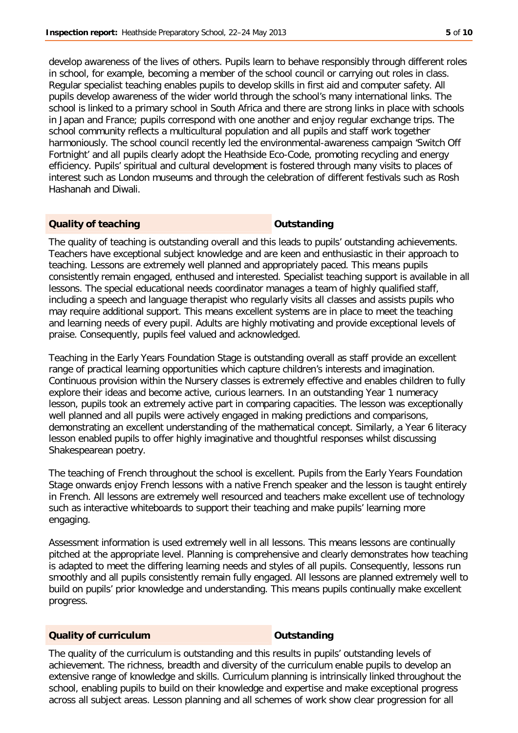develop awareness of the lives of others. Pupils learn to behave responsibly through different roles in school, for example, becoming a member of the school council or carrying out roles in class. Regular specialist teaching enables pupils to develop skills in first aid and computer safety. All pupils develop awareness of the wider world through the school's many international links. The school is linked to a primary school in South Africa and there are strong links in place with schools in Japan and France; pupils correspond with one another and enjoy regular exchange trips. The school community reflects a multicultural population and all pupils and staff work together harmoniously. The school council recently led the environmental-awareness campaign 'Switch Off Fortnight' and all pupils clearly adopt the Heathside Eco-Code, promoting recycling and energy efficiency. Pupils' spiritual and cultural development is fostered through many visits to places of interest such as London museums and through the celebration of different festivals such as Rosh Hashanah and Diwali.

### **Quality of teaching Outstanding**

The quality of teaching is outstanding overall and this leads to pupils' outstanding achievements. Teachers have exceptional subject knowledge and are keen and enthusiastic in their approach to teaching. Lessons are extremely well planned and appropriately paced. This means pupils consistently remain engaged, enthused and interested. Specialist teaching support is available in all lessons. The special educational needs coordinator manages a team of highly qualified staff, including a speech and language therapist who regularly visits all classes and assists pupils who may require additional support. This means excellent systems are in place to meet the teaching and learning needs of every pupil. Adults are highly motivating and provide exceptional levels of praise. Consequently, pupils feel valued and acknowledged.

Teaching in the Early Years Foundation Stage is outstanding overall as staff provide an excellent range of practical learning opportunities which capture children's interests and imagination. Continuous provision within the Nursery classes is extremely effective and enables children to fully explore their ideas and become active, curious learners. In an outstanding Year 1 numeracy lesson, pupils took an extremely active part in comparing capacities. The lesson was exceptionally well planned and all pupils were actively engaged in making predictions and comparisons, demonstrating an excellent understanding of the mathematical concept. Similarly, a Year 6 literacy lesson enabled pupils to offer highly imaginative and thoughtful responses whilst discussing Shakespearean poetry.

The teaching of French throughout the school is excellent. Pupils from the Early Years Foundation Stage onwards enjoy French lessons with a native French speaker and the lesson is taught entirely in French. All lessons are extremely well resourced and teachers make excellent use of technology such as interactive whiteboards to support their teaching and make pupils' learning more engaging.

Assessment information is used extremely well in all lessons. This means lessons are continually pitched at the appropriate level. Planning is comprehensive and clearly demonstrates how teaching is adapted to meet the differing learning needs and styles of all pupils. Consequently, lessons run smoothly and all pupils consistently remain fully engaged. All lessons are planned extremely well to build on pupils' prior knowledge and understanding. This means pupils continually make excellent progress.

### **Quality of curriculum COUTSTANDING COUTSTANDING**

The quality of the curriculum is outstanding and this results in pupils' outstanding levels of achievement. The richness, breadth and diversity of the curriculum enable pupils to develop an extensive range of knowledge and skills. Curriculum planning is intrinsically linked throughout the school, enabling pupils to build on their knowledge and expertise and make exceptional progress across all subject areas. Lesson planning and all schemes of work show clear progression for all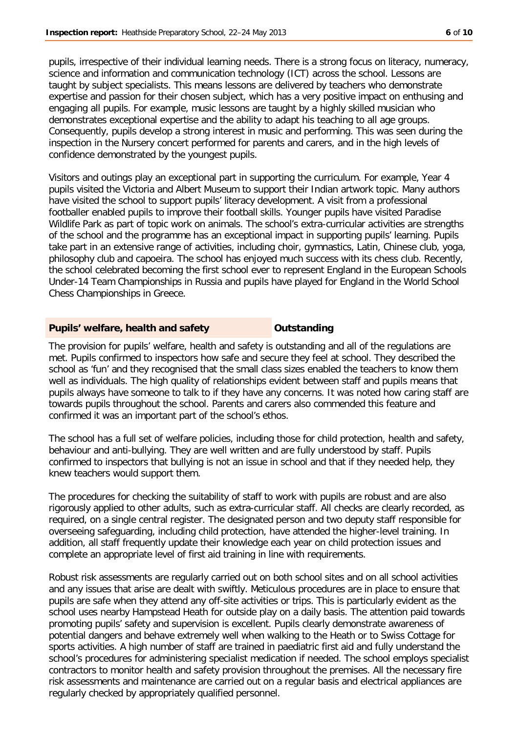pupils, irrespective of their individual learning needs. There is a strong focus on literacy, numeracy, science and information and communication technology (ICT) across the school. Lessons are taught by subject specialists. This means lessons are delivered by teachers who demonstrate expertise and passion for their chosen subject, which has a very positive impact on enthusing and engaging all pupils. For example, music lessons are taught by a highly skilled musician who demonstrates exceptional expertise and the ability to adapt his teaching to all age groups. Consequently, pupils develop a strong interest in music and performing. This was seen during the inspection in the Nursery concert performed for parents and carers, and in the high levels of confidence demonstrated by the youngest pupils.

Visitors and outings play an exceptional part in supporting the curriculum. For example, Year 4 pupils visited the Victoria and Albert Museum to support their Indian artwork topic. Many authors have visited the school to support pupils' literacy development. A visit from a professional footballer enabled pupils to improve their football skills. Younger pupils have visited Paradise Wildlife Park as part of topic work on animals. The school's extra-curricular activities are strengths of the school and the programme has an exceptional impact in supporting pupils' learning. Pupils take part in an extensive range of activities, including choir, gymnastics, Latin, Chinese club, yoga, philosophy club and capoeira. The school has enjoyed much success with its chess club. Recently, the school celebrated becoming the first school ever to represent England in the European Schools Under-14 Team Championships in Russia and pupils have played for England in the World School Chess Championships in Greece.

### **Pupils' welfare, health and safety Cultimate Units:** Dutstanding

The provision for pupils' welfare, health and safety is outstanding and all of the regulations are met. Pupils confirmed to inspectors how safe and secure they feel at school. They described the school as 'fun' and they recognised that the small class sizes enabled the teachers to know them well as individuals. The high quality of relationships evident between staff and pupils means that pupils always have someone to talk to if they have any concerns. It was noted how caring staff are towards pupils throughout the school. Parents and carers also commended this feature and confirmed it was an important part of the school's ethos.

The school has a full set of welfare policies, including those for child protection, health and safety, behaviour and anti-bullying. They are well written and are fully understood by staff. Pupils confirmed to inspectors that bullying is not an issue in school and that if they needed help, they knew teachers would support them.

The procedures for checking the suitability of staff to work with pupils are robust and are also rigorously applied to other adults, such as extra-curricular staff. All checks are clearly recorded, as required, on a single central register. The designated person and two deputy staff responsible for overseeing safeguarding, including child protection, have attended the higher-level training. In addition, all staff frequently update their knowledge each year on child protection issues and complete an appropriate level of first aid training in line with requirements.

Robust risk assessments are regularly carried out on both school sites and on all school activities and any issues that arise are dealt with swiftly. Meticulous procedures are in place to ensure that pupils are safe when they attend any off-site activities or trips. This is particularly evident as the school uses nearby Hampstead Heath for outside play on a daily basis. The attention paid towards promoting pupils' safety and supervision is excellent. Pupils clearly demonstrate awareness of potential dangers and behave extremely well when walking to the Heath or to Swiss Cottage for sports activities. A high number of staff are trained in paediatric first aid and fully understand the school's procedures for administering specialist medication if needed. The school employs specialist contractors to monitor health and safety provision throughout the premises. All the necessary fire risk assessments and maintenance are carried out on a regular basis and electrical appliances are regularly checked by appropriately qualified personnel.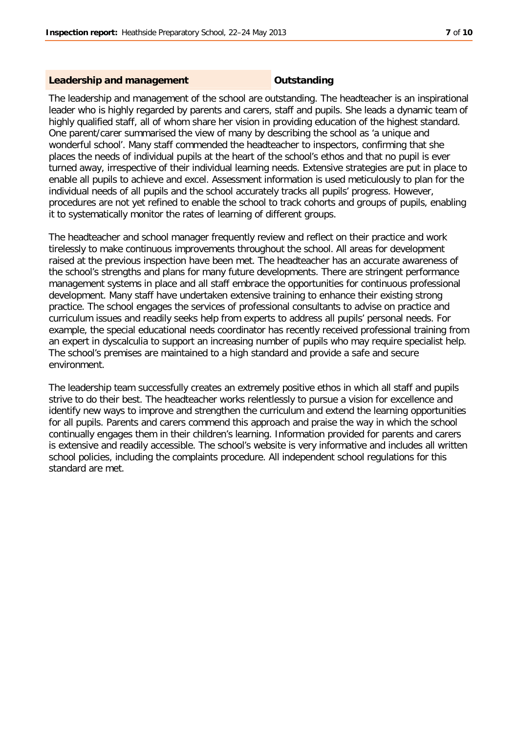#### **Leadership and management COUTS Outstanding**

The leadership and management of the school are outstanding. The headteacher is an inspirational leader who is highly regarded by parents and carers, staff and pupils. She leads a dynamic team of highly qualified staff, all of whom share her vision in providing education of the highest standard. One parent/carer summarised the view of many by describing the school as 'a unique and wonderful school'. Many staff commended the headteacher to inspectors, confirming that she places the needs of individual pupils at the heart of the school's ethos and that no pupil is ever turned away, irrespective of their individual learning needs. Extensive strategies are put in place to enable all pupils to achieve and excel. Assessment information is used meticulously to plan for the individual needs of all pupils and the school accurately tracks all pupils' progress. However, procedures are not yet refined to enable the school to track cohorts and groups of pupils, enabling it to systematically monitor the rates of learning of different groups.

The headteacher and school manager frequently review and reflect on their practice and work tirelessly to make continuous improvements throughout the school. All areas for development raised at the previous inspection have been met. The headteacher has an accurate awareness of the school's strengths and plans for many future developments. There are stringent performance management systems in place and all staff embrace the opportunities for continuous professional development. Many staff have undertaken extensive training to enhance their existing strong practice. The school engages the services of professional consultants to advise on practice and curriculum issues and readily seeks help from experts to address all pupils' personal needs. For example, the special educational needs coordinator has recently received professional training from an expert in dyscalculia to support an increasing number of pupils who may require specialist help. The school's premises are maintained to a high standard and provide a safe and secure environment.

The leadership team successfully creates an extremely positive ethos in which all staff and pupils strive to do their best. The headteacher works relentlessly to pursue a vision for excellence and identify new ways to improve and strengthen the curriculum and extend the learning opportunities for all pupils. Parents and carers commend this approach and praise the way in which the school continually engages them in their children's learning. Information provided for parents and carers is extensive and readily accessible. The school's website is very informative and includes all written school policies, including the complaints procedure. All independent school regulations for this standard are met.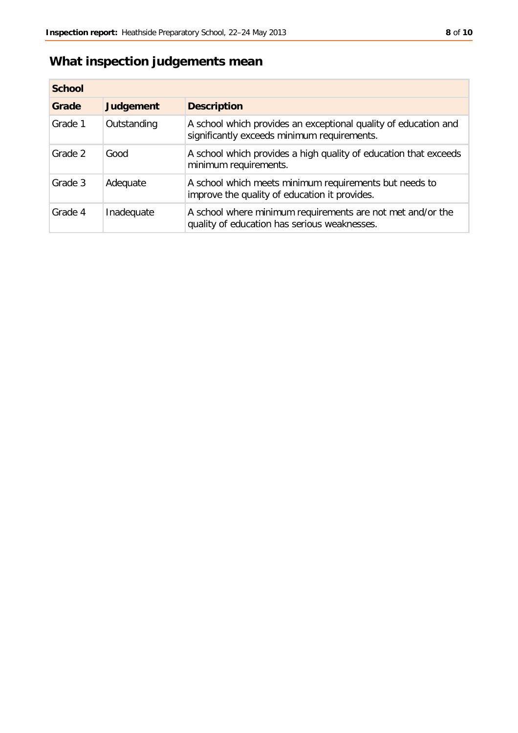# **What inspection judgements mean**

| <b>School</b> |                  |                                                                                                                |
|---------------|------------------|----------------------------------------------------------------------------------------------------------------|
| Grade         | <b>Judgement</b> | <b>Description</b>                                                                                             |
| Grade 1       | Outstanding      | A school which provides an exceptional quality of education and<br>significantly exceeds minimum requirements. |
| Grade 2       | Good             | A school which provides a high quality of education that exceeds<br>minimum requirements.                      |
| Grade 3       | Adequate         | A school which meets minimum requirements but needs to<br>improve the quality of education it provides.        |
| Grade 4       | Inadequate       | A school where minimum requirements are not met and/or the<br>quality of education has serious weaknesses.     |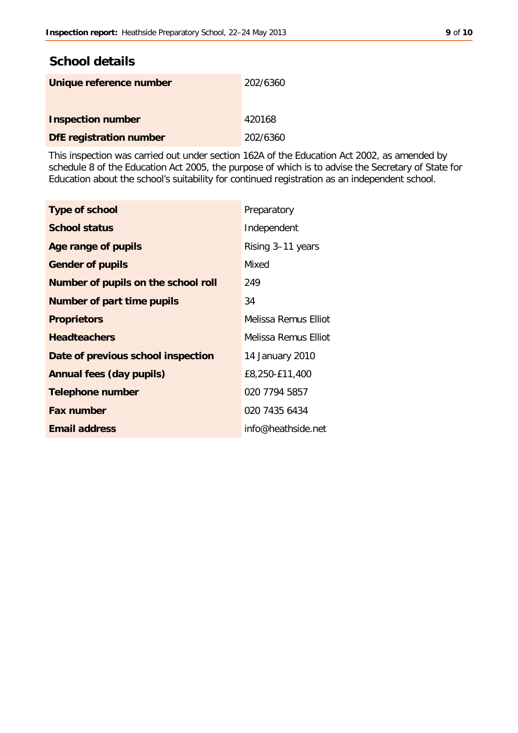# **School details**

| Unique reference number  | 202/6360 |
|--------------------------|----------|
| <b>Inspection number</b> | 420168   |
| DfE registration number  | 202/6360 |

This inspection was carried out under section 162A of the Education Act 2002, as amended by schedule 8 of the Education Act 2005, the purpose of which is to advise the Secretary of State for Education about the school's suitability for continued registration as an independent school.

| <b>Type of school</b>               | Preparatory          |  |
|-------------------------------------|----------------------|--|
| <b>School status</b>                | Independent          |  |
| Age range of pupils                 | Rising 3-11 years    |  |
| <b>Gender of pupils</b>             | Mixed                |  |
| Number of pupils on the school roll | 249                  |  |
| Number of part time pupils          | 34                   |  |
| <b>Proprietors</b>                  | Melissa Remus Filiot |  |
| <b>Headteachers</b>                 | Melissa Remus Elliot |  |
| Date of previous school inspection  | 14 January 2010      |  |
| Annual fees (day pupils)            | £8,250-£11,400       |  |
| <b>Telephone number</b>             | 020 7794 5857        |  |
| <b>Fax number</b>                   | 020 7435 6434        |  |
| <b>Email address</b>                | info@heathside.net   |  |